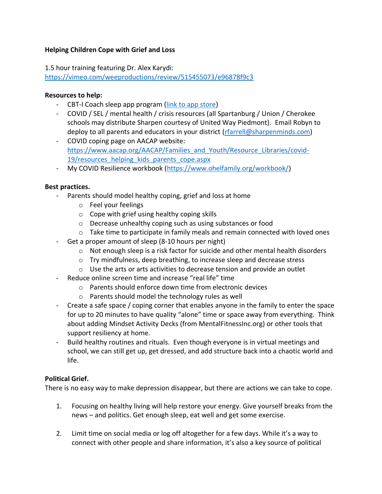## **Helping Children Cope with Grief and Loss**

1.5 hour training featuring Dr. Alex Karydi:

<https://vimeo.com/weeproductions/review/515455073/e96878f9c3>

## **Resources to help:**

- CBT-I Coach sleep app program [\(link to app store\)](https://apps.apple.com/us/app/cbt-i-coach/id655918660)
- COVID / SEL / mental health / crisis resources (all Spartanburg / Union / Cherokee schools may distribute Sharpen courtesy of United Way Piedmont). Email Robyn to deploy to all parents and educators in your district [\(rfarrell@sharpenminds.com\)](mailto:rfarrell@sharpenminds.com)
- COVID coping page on AACAP website: [https://www.aacap.org/AACAP/Families\\_and\\_Youth/Resource\\_Libraries/covid-](https://www.aacap.org/AACAP/Families_and_Youth/Resource_Libraries/covid-19/resources_helping_kids_parents_cope.aspx)19/resources helping kids parents cope.aspx
- My COVID Resilience workbook [\(https://www.ohelfamily.org/workbook/\)](https://www.ohelfamily.org/workbook/)

## **Best practices.**

- Parents should model healthy coping, grief and loss at home
	- o Feel your feelings
	- o Cope with grief using healthy coping skills
	- o Decrease unhealthy coping such as using substances or food
	- $\circ$  Take time to participate in family meals and remain connected with loved ones
- Get a proper amount of sleep (8-10 hours per night)
	- $\circ$  Not enough sleep is a risk factor for suicide and other mental health disorders
	- o Try mindfulness, deep breathing, to increase sleep and decrease stress
	- o Use the arts or arts activities to decrease tension and provide an outlet
- Reduce online screen time and increase "real life" time
	- o Parents should enforce down time from electronic devices
	- o Parents should model the technology rules as well
- Create a safe space / coping corner that enables anyone in the family to enter the space for up to 20 minutes to have quality "alone" time or space away from everything. Think about adding Mindset Activity Decks (from MentalFitnessInc.org) or other tools that support resiliency at home.
- Build healthy routines and rituals. Even though everyone is in virtual meetings and school, we can still get up, get dressed, and add structure back into a chaotic world and life.

## **Political Grief.**

There is no easy way to make depression disappear, but there are actions we can take to cope.

- 1. Focusing on healthy living will help restore your energy. Give yourself breaks from the news – and politics. Get enough sleep, eat well and get some exercise.
- 2. Limit time on social media or log off altogether for a few days. While it's a way to connect with other people and share information, it's also a key source of political